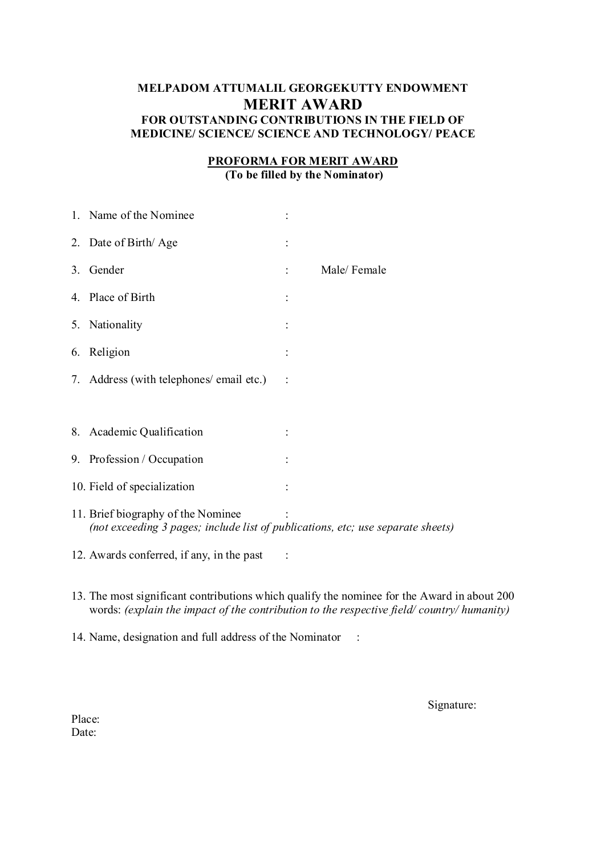# **MELPADOM ATTUMALIL GEORGEKUTTY ENDOWMENT MERIT AWARD FOR OUTSTANDING CONTRIBUTIONS IN THE FIELD OF MEDICINE/ SCIENCE/ SCIENCE AND TECHNOLOGY/ PEACE**

### **PROFORMA FOR MERIT AWARD (To be filled by the Nominator)**

|    | 1. Name of the Nominee                                                                                                |             |
|----|-----------------------------------------------------------------------------------------------------------------------|-------------|
|    | 2. Date of Birth/Age                                                                                                  |             |
| 3. | Gender                                                                                                                | Male/Female |
|    | 4. Place of Birth                                                                                                     |             |
|    | 5. Nationality                                                                                                        |             |
|    | 6. Religion                                                                                                           |             |
|    | 7. Address (with telephones/ email etc.)                                                                              |             |
|    |                                                                                                                       |             |
|    | 8. Academic Qualification                                                                                             |             |
|    | 9. Profession / Occupation                                                                                            |             |
|    | 10. Field of specialization                                                                                           |             |
|    | 11. Brief biography of the Nominee<br>(not exceeding 3 pages; include list of publications, etc; use separate sheets) |             |
|    | 12. Awards conferred, if any, in the past                                                                             |             |

- 13. The most significant contributions which qualify the nominee for the Award in about 200 words: *(explain the impact of the contribution to the respective field/ country/ humanity)*
- 14. Name, designation and full address of the Nominator :

Signature: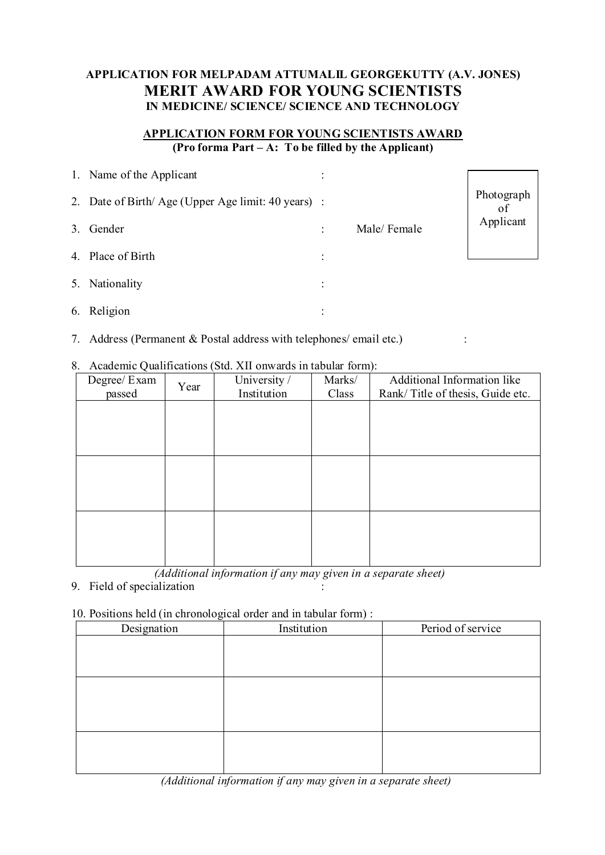# **APPLICATION FOR MELPADAM ATTUMALIL GEORGEKUTTY (A.V. JONES) MERIT AWARD FOR YOUNG SCIENTISTS IN MEDICINE/ SCIENCE/ SCIENCE AND TECHNOLOGY**

## **APPLICATION FORM FOR YOUNG SCIENTISTS AWARD (Pro forma Part – A: To be filled by the Applicant)**

|    | 1. Name of the Applicant                           |           |             |                 |
|----|----------------------------------------------------|-----------|-------------|-----------------|
|    | 2. Date of Birth/Age (Upper Age limit: 40 years) : |           |             | Photograph      |
| 3. | Gender                                             |           | Male/Female | of<br>Applicant |
|    | 4. Place of Birth                                  | $\bullet$ |             |                 |
|    | 5. Nationality                                     |           |             |                 |
|    | 6. Religion                                        |           |             |                 |

7. Address (Permanent & Postal address with telephones/ email etc.) :

#### 8. Academic Qualifications (Std. XII onwards in tabular form):

| ``<br>Degree/ Exam<br>passed | Year | University /<br>Institution | Marks/<br>Class | Additional Information like<br>Rank/Title of thesis, Guide etc. |
|------------------------------|------|-----------------------------|-----------------|-----------------------------------------------------------------|
|                              |      |                             |                 |                                                                 |
|                              |      |                             |                 |                                                                 |
|                              |      |                             |                 |                                                                 |
|                              |      |                             |                 |                                                                 |
|                              |      |                             |                 |                                                                 |
|                              |      |                             |                 |                                                                 |

 *(Additional information if any may given in a separate sheet)*

9. Field of specialization

#### 10. Positions held (in chronological order and in tabular form) :

| $\lambda$<br>$\check{ }$<br>Designation | ╭<br>Institution | Period of service |
|-----------------------------------------|------------------|-------------------|
|                                         |                  |                   |
|                                         |                  |                   |
|                                         |                  |                   |
|                                         |                  |                   |
|                                         |                  |                   |
|                                         |                  |                   |
|                                         |                  |                   |
|                                         |                  |                   |
|                                         |                  |                   |
|                                         |                  |                   |

 *(Additional information if any may given in a separate sheet)*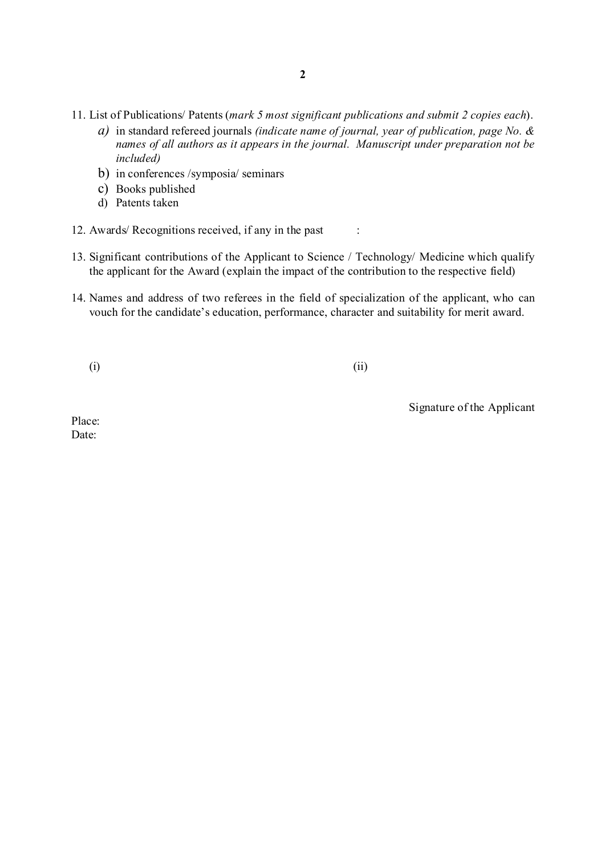- 11. List of Publications/ Patents (*mark 5 most significant publications and submit 2 copies each*).
	- *a)* in standard refereed journals *(indicate name of journal, year of publication, page No. & names of all authors as it appears in the journal. Manuscript under preparation not be included)*
	- b) in conferences /symposia/ seminars
	- c) Books published
	- d) Patents taken
- 12. Awards/ Recognitions received, if any in the past :
- 13. Significant contributions of the Applicant to Science / Technology/ Medicine which qualify the applicant for the Award (explain the impact of the contribution to the respective field)
- 14. Names and address of two referees in the field of specialization of the applicant, who can vouch for the candidate's education, performance, character and suitability for merit award.

 $(i)$  (ii)

Signature of the Applicant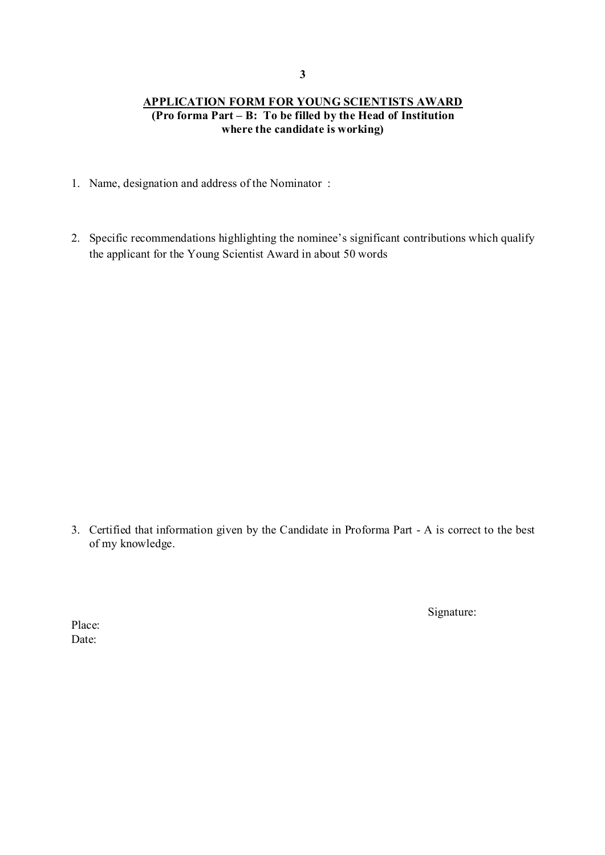# **APPLICATION FORM FOR YOUNG SCIENTISTS AWARD (Pro forma Part – B: To be filled by the Head of Institution where the candidate is working)**

- 1. Name, designation and address of the Nominator :
- 2. Specific recommendations highlighting the nominee's significant contributions which qualify the applicant for the Young Scientist Award in about 50 words

3. Certified that information given by the Candidate in Proforma Part - A is correct to the best of my knowledge.

Signature: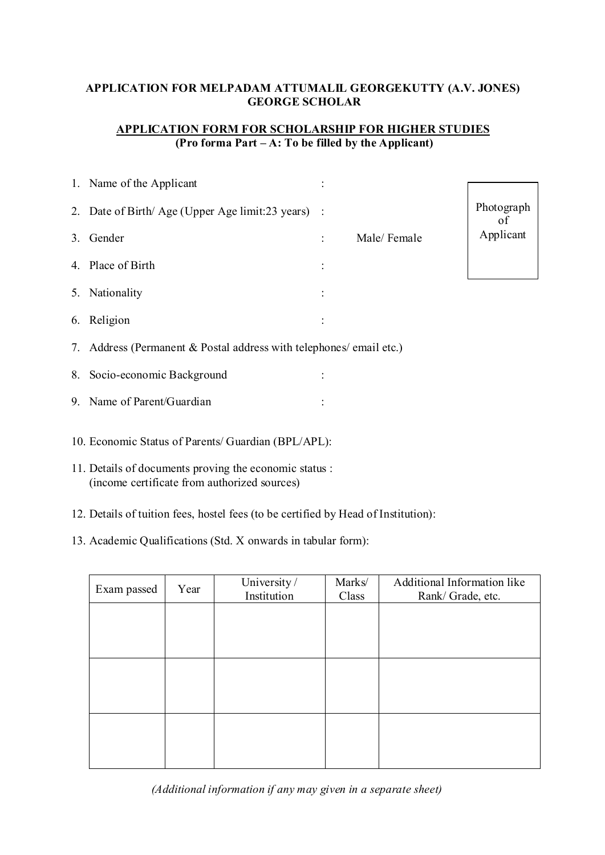# **APPLICATION FOR MELPADAM ATTUMALIL GEORGEKUTTY (A.V. JONES) GEORGE SCHOLAR**

# **APPLICATION FORM FOR SCHOLARSHIP FOR HIGHER STUDIES (Pro forma Part – A: To be filled by the Applicant)**

| 1. Name of the Applicant                                            |  |             |                 |  |
|---------------------------------------------------------------------|--|-------------|-----------------|--|
|                                                                     |  |             |                 |  |
| 2. Date of Birth/Age (Upper Age limit:23 years) :                   |  |             | Photograph      |  |
| 3. Gender                                                           |  | Male/Female | οf<br>Applicant |  |
| 4. Place of Birth                                                   |  |             |                 |  |
| 5. Nationality                                                      |  |             |                 |  |
| 6. Religion                                                         |  |             |                 |  |
| 7. Address (Permanent & Postal address with telephones/ email etc.) |  |             |                 |  |
| 8. Socio-economic Background                                        |  |             |                 |  |
| 9. Name of Parent/Guardian                                          |  |             |                 |  |
| 10. Economic Status of Parents/ Guardian (BPL/APL):                 |  |             |                 |  |
| 11. Details of documents proving the economic status :              |  |             |                 |  |

- (income certificate from authorized sources)
- 12. Details of tuition fees, hostel fees (to be certified by Head of Institution):
- 13. Academic Qualifications (Std. X onwards in tabular form):

| Exam passed | Year | University /<br>Institution | Marks/<br>Class | Additional Information like<br>Rank/Grade, etc. |
|-------------|------|-----------------------------|-----------------|-------------------------------------------------|
|             |      |                             |                 |                                                 |
|             |      |                             |                 |                                                 |
|             |      |                             |                 |                                                 |
|             |      |                             |                 |                                                 |
|             |      |                             |                 |                                                 |
|             |      |                             |                 |                                                 |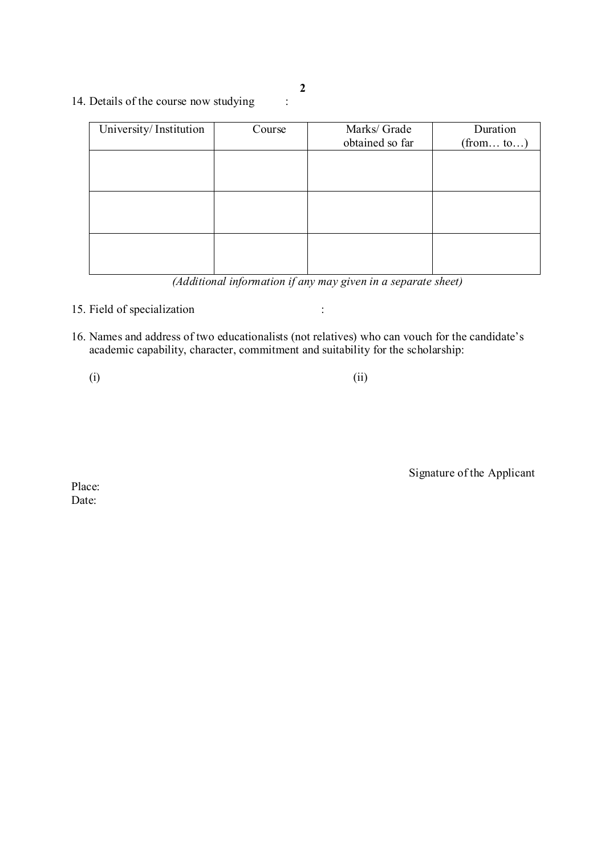14. Details of the course now studying :

| University/Institution | Course | Marks/ Grade<br>obtained so far | Duration  |
|------------------------|--------|---------------------------------|-----------|
|                        |        |                                 | (from to) |
|                        |        |                                 |           |
|                        |        |                                 |           |
|                        |        |                                 |           |
|                        |        |                                 |           |
|                        |        |                                 |           |
|                        |        |                                 |           |

 *(Additional information if any may given in a separate sheet)*

- 15. Field of specialization :
- 16. Names and address of two educationalists (not relatives) who can vouch for the candidate's academic capability, character, commitment and suitability for the scholarship:

 $(i)$  (ii)

Signature of the Applicant